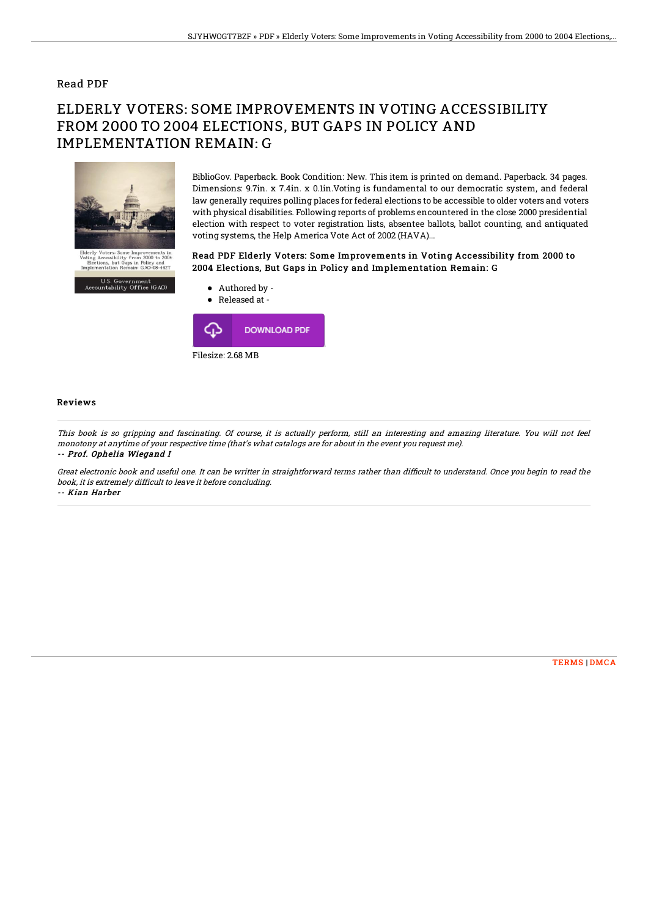### Read PDF

# ELDERLY VOTERS: SOME IMPROVEMENTS IN VOTING ACCESSIBILITY FROM 2000 TO 2004 ELECTIONS, BUT GAPS IN POLICY AND IMPLEMENTATION REMAIN: G



BiblioGov. Paperback. Book Condition: New. This item is printed on demand. Paperback. 34 pages. Dimensions: 9.7in. x 7.4in. x 0.1in.Voting is fundamental to our democratic system, and federal law generally requires polling places for federal elections to be accessible to older voters and voters with physical disabilities. Following reports of problems encountered in the close 2000 presidential election with respect to voter registration lists, absentee ballots, ballot counting, and antiquated voting systems, the Help America Vote Act of 2002 (HAVA)...

### Read PDF Elderly Voters: Some Improvements in Voting Accessibility from 2000 to 2004 Elections, But Gaps in Policy and Implementation Remain: G



#### Reviews

This book is so gripping and fascinating. Of course, it is actually perform, still an interesting and amazing literature. You will not feel monotony at anytime of your respective time (that's what catalogs are for about in the event you request me). -- Prof. Ophelia Wiegand I

Great electronic book and useful one. It can be writter in straightforward terms rather than difficult to understand. Once you begin to read the book, it is extremely difficult to leave it before concluding. -- Kian Harber